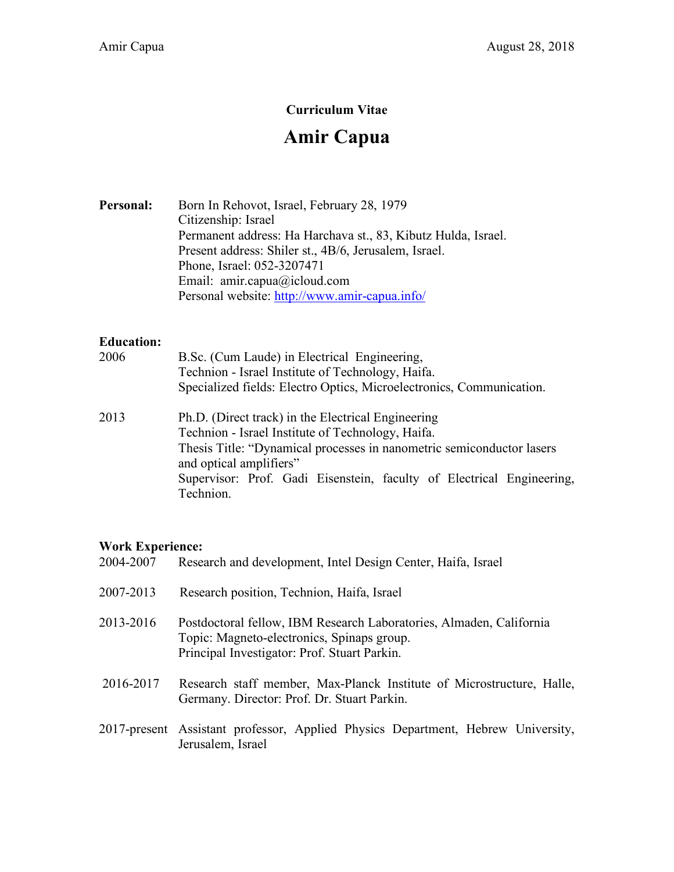## **Curriculum Vitae**

# **Amir Capua**

Personal: Born In Rehovot, Israel, February 28, 1979 Citizenship: Israel Permanent address: Ha Harchava st., 83, Kibutz Hulda, Israel. Present address: Shiler st., 4B/6, Jerusalem, Israel. Phone, Israel: 052-3207471 Email: amir.capua@icloud.com Personal website: http://www.amir-capua.info/

#### **Education:**

| 2006 | B.Sc. (Cum Laude) in Electrical Engineering,<br>Technion - Israel Institute of Technology, Haifa.                                                                                                           |
|------|-------------------------------------------------------------------------------------------------------------------------------------------------------------------------------------------------------------|
|      | Specialized fields: Electro Optics, Microelectronics, Communication.                                                                                                                                        |
| 2013 | Ph.D. (Direct track) in the Electrical Engineering<br>Technion - Israel Institute of Technology, Haifa.<br>Thesis Title: "Dynamical processes in nanometric semiconductor lasers<br>and optical amplifiers" |
|      | Supervisor: Prof. Gadi Eisenstein, faculty of Electrical Engineering,                                                                                                                                       |
|      | Technion.                                                                                                                                                                                                   |

## **Work Experience:**

| 2004-2007 | Research and development, Intel Design Center, Haifa, Israel                                                                                                      |
|-----------|-------------------------------------------------------------------------------------------------------------------------------------------------------------------|
| 2007-2013 | Research position, Technion, Haifa, Israel                                                                                                                        |
| 2013-2016 | Postdoctoral fellow, IBM Research Laboratories, Almaden, California<br>Topic: Magneto-electronics, Spinaps group.<br>Principal Investigator: Prof. Stuart Parkin. |
| 2016-2017 | Research staff member, Max-Planck Institute of Microstructure, Halle,<br>Germany. Director: Prof. Dr. Stuart Parkin.                                              |
|           | 2017-present Assistant professor, Applied Physics Department, Hebrew University,<br>Jerusalem, Israel                                                             |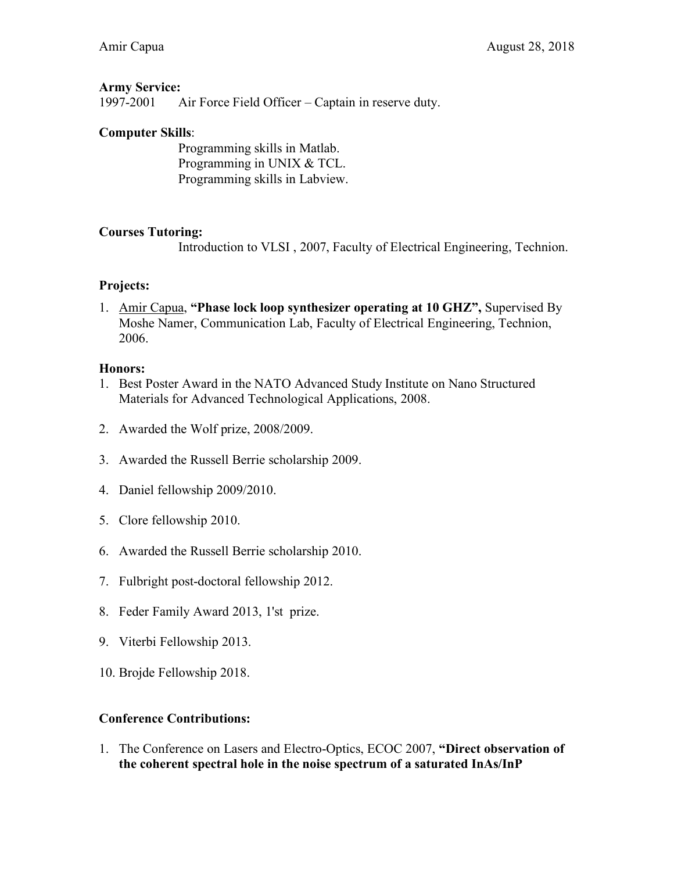#### **Army Service:**

1997-2001 Air Force Field Officer – Captain in reserve duty.

### **Computer Skills**:

Programming skills in Matlab. Programming in UNIX & TCL. Programming skills in Labview.

#### **Courses Tutoring:**

Introduction to VLSI , 2007, Faculty of Electrical Engineering, Technion.

## **Projects:**

1. Amir Capua, **"Phase lock loop synthesizer operating at 10 GHZ",** Supervised By Moshe Namer, Communication Lab, Faculty of Electrical Engineering, Technion, 2006.

#### **Honors:**

- 1. Best Poster Award in the NATO Advanced Study Institute on Nano Structured Materials for Advanced Technological Applications, 2008.
- 2. Awarded the Wolf prize, 2008/2009.
- 3. Awarded the Russell Berrie scholarship 2009.
- 4. Daniel fellowship 2009/2010.
- 5. Clore fellowship 2010.
- 6. Awarded the Russell Berrie scholarship 2010.
- 7. Fulbright post-doctoral fellowship 2012.
- 8. Feder Family Award 2013, 1'st prize.
- 9. Viterbi Fellowship 2013.
- 10. Brojde Fellowship 2018.

#### **Conference Contributions:**

1. The Conference on Lasers and Electro-Optics, ECOC 2007, **"Direct observation of the coherent spectral hole in the noise spectrum of a saturated InAs/InP**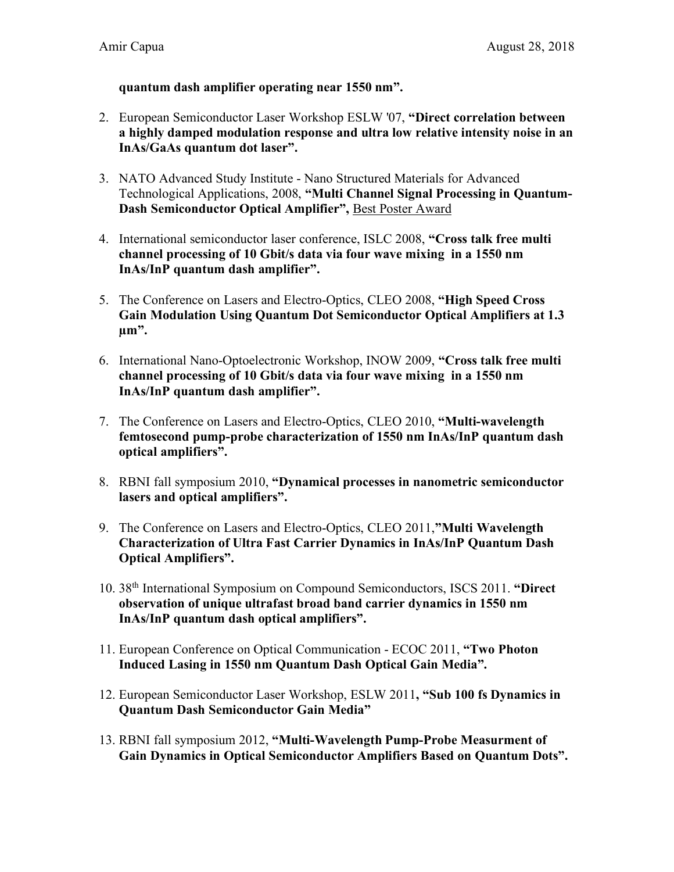### **quantum dash amplifier operating near 1550 nm".**

- 2. European Semiconductor Laser Workshop ESLW '07, **"Direct correlation between a highly damped modulation response and ultra low relative intensity noise in an InAs/GaAs quantum dot laser".**
- 3. NATO Advanced Study Institute Nano Structured Materials for Advanced Technological Applications, 2008, **"Multi Channel Signal Processing in Quantum-Dash Semiconductor Optical Amplifier",** Best Poster Award
- 4. International semiconductor laser conference, ISLC 2008, **"Cross talk free multi channel processing of 10 Gbit/s data via four wave mixing in a 1550 nm InAs/InP quantum dash amplifier".**
- 5. The Conference on Lasers and Electro-Optics, CLEO 2008, **"High Speed Cross Gain Modulation Using Quantum Dot Semiconductor Optical Amplifiers at 1.3 µm".**
- 6. International Nano-Optoelectronic Workshop, INOW 2009, **"Cross talk free multi channel processing of 10 Gbit/s data via four wave mixing in a 1550 nm InAs/InP quantum dash amplifier".**
- 7. The Conference on Lasers and Electro-Optics, CLEO 2010, **"Multi-wavelength femtosecond pump-probe characterization of 1550 nm InAs/InP quantum dash optical amplifiers".**
- 8. RBNI fall symposium 2010, **"Dynamical processes in nanometric semiconductor lasers and optical amplifiers".**
- 9. The Conference on Lasers and Electro-Optics, CLEO 2011,**"Multi Wavelength Characterization of Ultra Fast Carrier Dynamics in InAs/InP Quantum Dash Optical Amplifiers".**
- 10. 38th International Symposium on Compound Semiconductors, ISCS 2011. **"Direct observation of unique ultrafast broad band carrier dynamics in 1550 nm InAs/InP quantum dash optical amplifiers".**
- 11. European Conference on Optical Communication ECOC 2011, **"Two Photon Induced Lasing in 1550 nm Quantum Dash Optical Gain Media".**
- 12. European Semiconductor Laser Workshop, ESLW 2011**, "Sub 100 fs Dynamics in Quantum Dash Semiconductor Gain Media"**
- 13. RBNI fall symposium 2012, **"Multi-Wavelength Pump-Probe Measurment of Gain Dynamics in Optical Semiconductor Amplifiers Based on Quantum Dots".**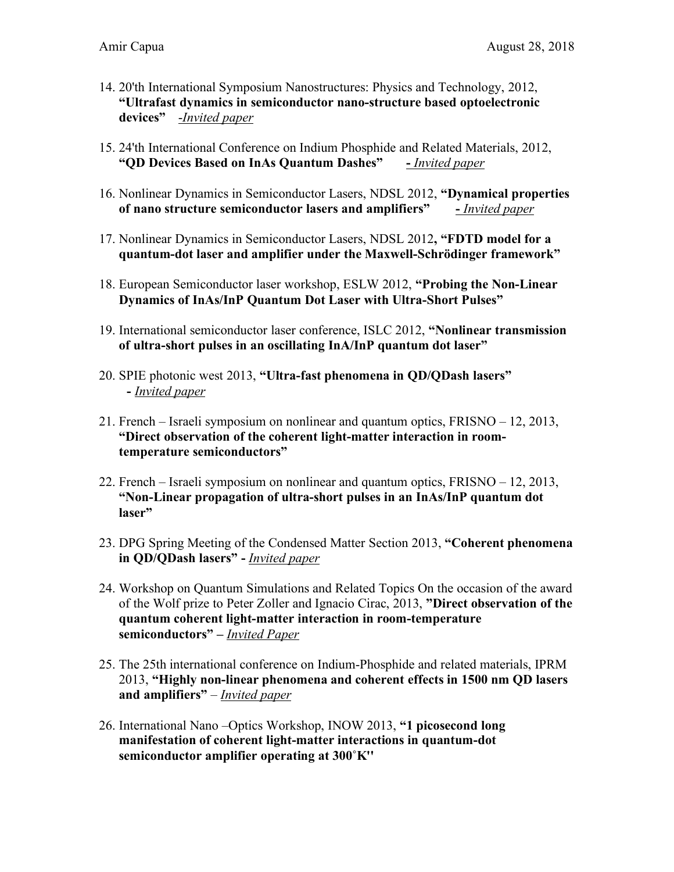- 14. 20'th International Symposium Nanostructures: Physics and Technology, 2012, **"Ultrafast dynamics in semiconductor nano-structure based optoelectronic devices"** -*Invited paper*
- 15. 24'th International Conference on Indium Phosphide and Related Materials, 2012, **"QD Devices Based on InAs Quantum Dashes" -** *Invited paper*
- 16. Nonlinear Dynamics in Semiconductor Lasers, NDSL 2012, **"Dynamical properties of nano structure semiconductor lasers and amplifiers" -** *Invited paper*
- 17. Nonlinear Dynamics in Semiconductor Lasers, NDSL 2012**, "FDTD model for a quantum-dot laser and amplifier under the Maxwell-Schrödinger framework"**
- 18. European Semiconductor laser workshop, ESLW 2012, **"Probing the Non-Linear Dynamics of InAs/InP Quantum Dot Laser with Ultra-Short Pulses"**
- 19. International semiconductor laser conference, ISLC 2012, **"Nonlinear transmission of ultra-short pulses in an oscillating InA/InP quantum dot laser"**
- 20. SPIE photonic west 2013, **"Ultra-fast phenomena in QD/QDash lasers" -** *Invited paper*
- 21. French Israeli symposium on nonlinear and quantum optics, FRISNO 12, 2013, **"Direct observation of the coherent light-matter interaction in roomtemperature semiconductors"**
- 22. French Israeli symposium on nonlinear and quantum optics, FRISNO 12, 2013, **"Non-Linear propagation of ultra-short pulses in an InAs/InP quantum dot laser"**
- 23. DPG Spring Meeting of the Condensed Matter Section 2013, **"Coherent phenomena in QD/QDash lasers" -** *Invited paper*
- 24. Workshop on Quantum Simulations and Related Topics On the occasion of the award of the Wolf prize to Peter Zoller and Ignacio Cirac, 2013, **"Direct observation of the quantum coherent light-matter interaction in room-temperature semiconductors" –** *Invited Paper*
- 25. The 25th international conference on Indium-Phosphide and related materials, IPRM 2013, **"Highly non-linear phenomena and coherent effects in 1500 nm QD lasers and amplifiers"** – *Invited paper*
- 26. International Nano –Optics Workshop, INOW 2013, **"1 picosecond long manifestation of coherent light-matter interactions in quantum-dot semiconductor amplifier operating at 300˚K ''**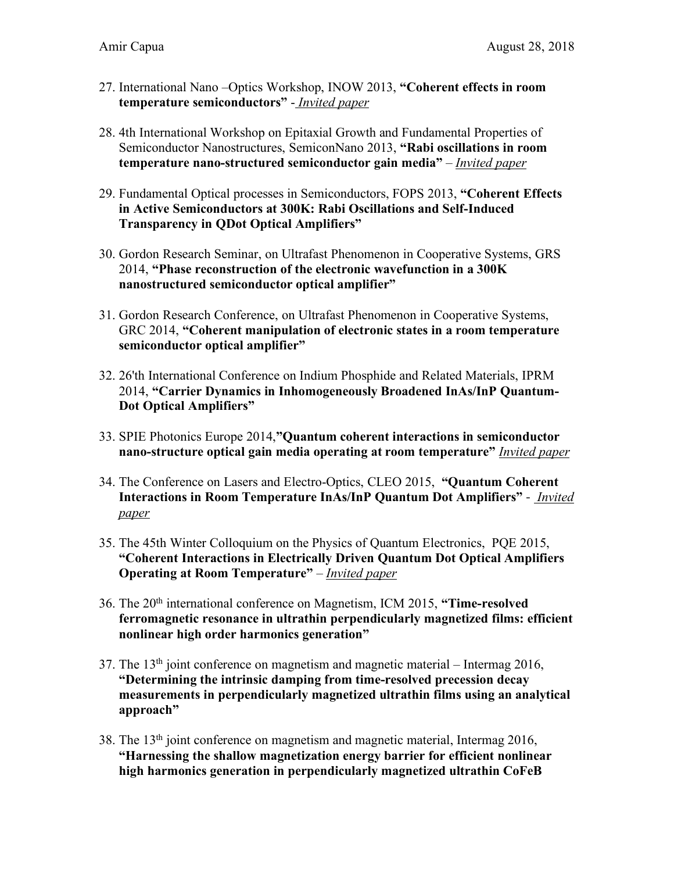- 27. International Nano –Optics Workshop, INOW 2013, **"Coherent effects in room temperature semiconductors"** - *Invited paper*
- 28. 4th International Workshop on Epitaxial Growth and Fundamental Properties of Semiconductor Nanostructures, SemiconNano 2013, **"Rabi oscillations in room temperature nano-structured semiconductor gain media"** – *Invited paper*
- 29. Fundamental Optical processes in Semiconductors, FOPS 2013, **"Coherent Effects in Active Semiconductors at 300K: Rabi Oscillations and Self-Induced Transparency in QDot Optical Amplifiers"**
- 30. Gordon Research Seminar, on Ultrafast Phenomenon in Cooperative Systems, GRS 2014, **"Phase reconstruction of the electronic wavefunction in a 300K nanostructured semiconductor optical amplifier"**
- 31. Gordon Research Conference, on Ultrafast Phenomenon in Cooperative Systems, GRC 2014, **"Coherent manipulation of electronic states in a room temperature semiconductor optical amplifier"**
- 32. 26'th International Conference on Indium Phosphide and Related Materials, IPRM 2014, **"Carrier Dynamics in Inhomogeneously Broadened InAs/InP Quantum-Dot Optical Amplifiers"**
- 33. SPIE Photonics Europe 2014,**"Quantum coherent interactions in semiconductor nano-structure optical gain media operating at room temperature"** *Invited paper*
- 34. The Conference on Lasers and Electro-Optics, CLEO 2015, **"Quantum Coherent Interactions in Room Temperature InAs/InP Quantum Dot Amplifiers"** - *Invited paper*
- 35. The 45th Winter Colloquium on the Physics of Quantum Electronics, PQE 2015, **"Coherent Interactions in Electrically Driven Quantum Dot Optical Amplifiers Operating at Room Temperature"** – *Invited paper*
- 36. The 20th international conference on Magnetism, ICM 2015, **"Time-resolved ferromagnetic resonance in ultrathin perpendicularly magnetized films: efficient nonlinear high order harmonics generation"**
- 37. The  $13<sup>th</sup>$  joint conference on magnetism and magnetic material Intermag 2016, **"Determining the intrinsic damping from time-resolved precession decay measurements in perpendicularly magnetized ultrathin films using an analytical approach"**
- 38. The  $13<sup>th</sup>$  joint conference on magnetism and magnetic material, Intermag 2016, **"Harnessing the shallow magnetization energy barrier for efficient nonlinear high harmonics generation in perpendicularly magnetized ultrathin CoFeB**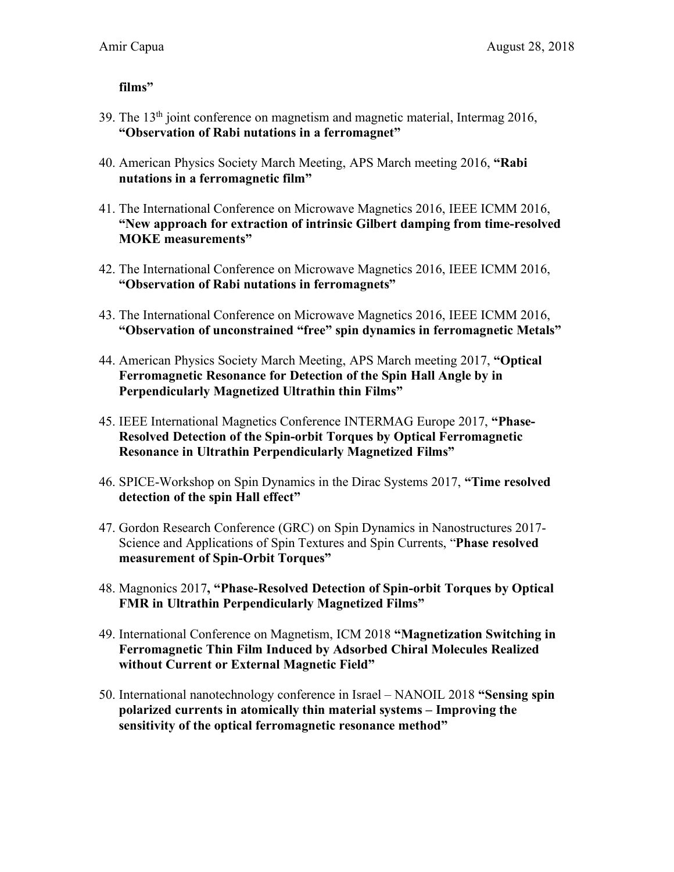## **films"**

- 39. The 13th joint conference on magnetism and magnetic material, Intermag 2016, **"Observation of Rabi nutations in a ferromagnet"**
- 40. American Physics Society March Meeting, APS March meeting 2016, **"Rabi nutations in a ferromagnetic film"**
- 41. The International Conference on Microwave Magnetics 2016, IEEE ICMM 2016, **"New approach for extraction of intrinsic Gilbert damping from time-resolved MOKE measurements"**
- 42. The International Conference on Microwave Magnetics 2016, IEEE ICMM 2016, **"Observation of Rabi nutations in ferromagnets"**
- 43. The International Conference on Microwave Magnetics 2016, IEEE ICMM 2016, **"Observation of unconstrained "free" spin dynamics in ferromagnetic Metals"**
- 44. American Physics Society March Meeting, APS March meeting 2017, **"Optical Ferromagnetic Resonance for Detection of the Spin Hall Angle by in Perpendicularly Magnetized Ultrathin thin Films"**
- 45. IEEE International Magnetics Conference INTERMAG Europe 2017, **"Phase-Resolved Detection of the Spin-orbit Torques by Optical Ferromagnetic Resonance in Ultrathin Perpendicularly Magnetized Films"**
- 46. SPICE-Workshop on Spin Dynamics in the Dirac Systems 2017, **"Time resolved detection of the spin Hall effect"**
- 47. Gordon Research Conference (GRC) on Spin Dynamics in Nanostructures 2017- Science and Applications of Spin Textures and Spin Currents, "**Phase resolved measurement of Spin-Orbit Torques"**
- 48. Magnonics 2017**, "Phase-Resolved Detection of Spin-orbit Torques by Optical FMR in Ultrathin Perpendicularly Magnetized Films"**
- 49. International Conference on Magnetism, ICM 2018 **"Magnetization Switching in Ferromagnetic Thin Film Induced by Adsorbed Chiral Molecules Realized without Current or External Magnetic Field"**
- 50. International nanotechnology conference in Israel NANOIL 2018 **"Sensing spin polarized currents in atomically thin material systems – Improving the sensitivity of the optical ferromagnetic resonance method"**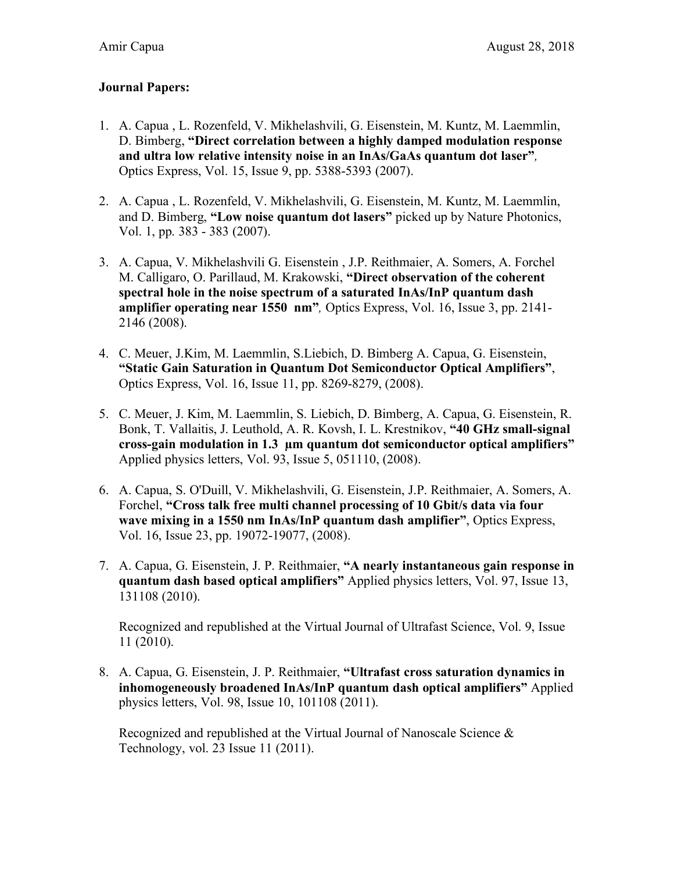## **Journal Papers:**

- 1. A. Capua , L. Rozenfeld, V. Mikhelashvili, G. Eisenstein, M. Kuntz, M. Laemmlin, D. Bimberg, **"Direct correlation between a highly damped modulation response and ultra low relative intensity noise in an InAs/GaAs quantum dot laser"***,*  Optics Express, Vol. 15, Issue 9, pp. 5388-5393 (2007).
- 2. A. Capua , L. Rozenfeld, V. Mikhelashvili, G. Eisenstein, M. Kuntz, M. Laemmlin, and D. Bimberg, **"Low noise quantum dot lasers"** picked up by Nature Photonics, Vol. 1, pp. 383 - 383 (2007).
- 3. A. Capua, V. Mikhelashvili G. Eisenstein , J.P. Reithmaier, A. Somers, A. Forchel M. Calligaro, O. Parillaud, M. Krakowski, **"Direct observation of the coherent spectral hole in the noise spectrum of a saturated InAs/InP quantum dash amplifier operating near 1550 nm"***,* Optics Express, Vol. 16, Issue 3, pp. 2141- 2146 (2008).
- 4. C. Meuer, J.Kim, M. Laemmlin, S.Liebich, D. Bimberg A. Capua, G. Eisenstein, **"Static Gain Saturation in Quantum Dot Semiconductor Optical Amplifiers"**, Optics Express, Vol. 16, Issue 11, pp. 8269-8279, (2008).
- 5. C. Meuer, J. Kim, M. Laemmlin, S. Liebich, D. Bimberg, A. Capua, G. Eisenstein, R. Bonk, T. Vallaitis, J. Leuthold, A. R. Kovsh, I. L. Krestnikov, **"40 GHz small-signal cross-gain modulation in 1.3 µm quantum dot semiconductor optical amplifiers"** Applied physics letters, Vol. 93, Issue 5, 051110, (2008).
- 6. A. Capua, S. O'Duill, V. Mikhelashvili, G. Eisenstein, J.P. Reithmaier, A. Somers, A. Forchel, **"Cross talk free multi channel processing of 10 Gbit/s data via four wave mixing in a 1550 nm InAs/InP quantum dash amplifier"**, Optics Express, Vol. 16, Issue 23, pp. 19072-19077, (2008).
- 7. A. Capua, G. Eisenstein, J. P. Reithmaier, **"A nearly instantaneous gain response in quantum dash based optical amplifiers"** Applied physics letters, Vol. 97, Issue 13, 131108 (2010).

Recognized and republished at the Virtual Journal of Ultrafast Science, Vol. 9, Issue 11 (2010).

8. A. Capua, G. Eisenstein, J. P. Reithmaier, **"Ultrafast cross saturation dynamics in inhomogeneously broadened InAs/InP quantum dash optical amplifiers"** Applied physics letters, Vol. 98, Issue 10, 101108 (2011).

Recognized and republished at the Virtual Journal of Nanoscale Science & Technology, vol. 23 Issue 11 (2011).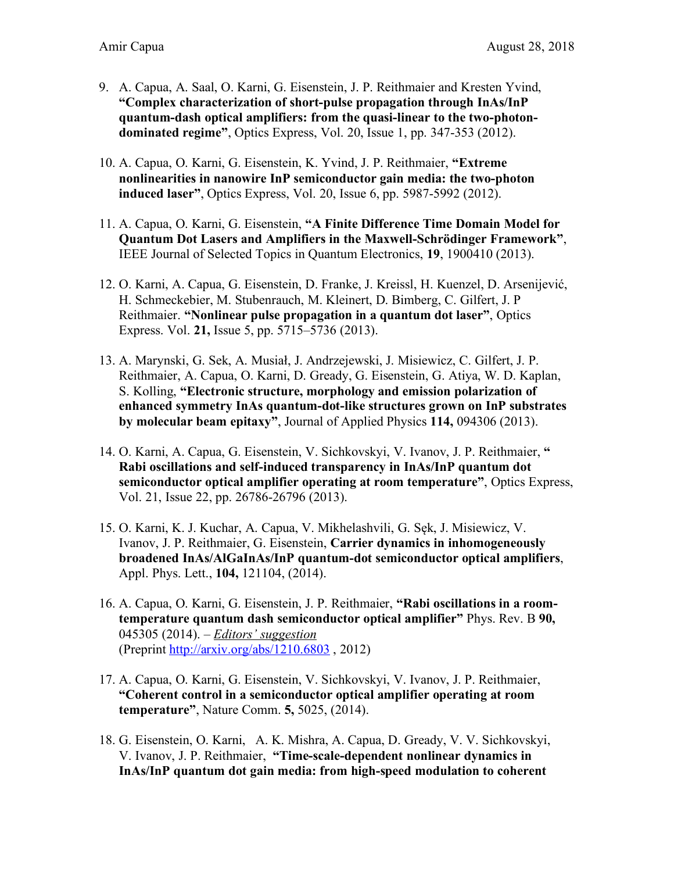- 9. A. Capua, A. Saal, O. Karni, G. Eisenstein, J. P. Reithmaier and Kresten Yvind, **"Complex characterization of short-pulse propagation through InAs/InP quantum-dash optical amplifiers: from the quasi-linear to the two-photondominated regime"**, Optics Express, Vol. 20, Issue 1, pp. 347-353 (2012).
- 10. A. Capua, O. Karni, G. Eisenstein, K. Yvind, J. P. Reithmaier, **"Extreme nonlinearities in nanowire InP semiconductor gain media: the two-photon induced laser"**, Optics Express, Vol. 20, Issue 6, pp. 5987-5992 (2012).
- 11. A. Capua, O. Karni, G. Eisenstein, **"A Finite Difference Time Domain Model for Quantum Dot Lasers and Amplifiers in the Maxwell-Schrödinger Framework"**, IEEE Journal of Selected Topics in Quantum Electronics, **19**, 1900410 (2013).
- 12. O. Karni, A. Capua, G. Eisenstein, D. Franke, J. Kreissl, H. Kuenzel, D. Arsenijević, H. Schmeckebier, M. Stubenrauch, M. Kleinert, D. Bimberg, C. Gilfert, J. P Reithmaier. **"Nonlinear pulse propagation in a quantum dot laser"**, Optics Express. Vol. **21,** Issue 5, pp. 5715–5736 (2013).
- 13. A. Marynski, G. Sek, A. Musiał, J. Andrzejewski, J. Misiewicz, C. Gilfert, J. P. Reithmaier, A. Capua, O. Karni, D. Gready, G. Eisenstein, G. Atiya, W. D. Kaplan, S. Kolling, **"Electronic structure, morphology and emission polarization of enhanced symmetry InAs quantum-dot-like structures grown on InP substrates by molecular beam epitaxy"**, Journal of Applied Physics **114,** 094306 (2013).
- 14. O. Karni, A. Capua, G. Eisenstein, V. Sichkovskyi, V. Ivanov, J. P. Reithmaier, **" Rabi oscillations and self-induced transparency in InAs/InP quantum dot semiconductor optical amplifier operating at room temperature"**, Optics Express, Vol. 21, Issue 22, pp. 26786-26796 (2013).
- 15. O. Karni, K. J. Kuchar, A. Capua, V. Mikhelashvili, G. Sęk, J. Misiewicz, V. Ivanov, J. P. Reithmaier, G. Eisenstein, **Carrier dynamics in inhomogeneously broadened InAs/AlGaInAs/InP quantum-dot semiconductor optical amplifiers**, Appl. Phys. Lett., **104,** 121104, (2014).
- 16. A. Capua, O. Karni, G. Eisenstein, J. P. Reithmaier, **"Rabi oscillations in a roomtemperature quantum dash semiconductor optical amplifier"** Phys. Rev. B **90,** 045305 (2014). – *Editors' suggestion* (Preprint http://arxiv.org/abs/1210.6803 , 2012)
- 17. A. Capua, O. Karni, G. Eisenstein, V. Sichkovskyi, V. Ivanov, J. P. Reithmaier, **"Coherent control in a semiconductor optical amplifier operating at room temperature"**, Nature Comm. **5,** 5025, (2014).
- 18. G. Eisenstein, O. Karni, A. K. Mishra, A. Capua, D. Gready, V. V. Sichkovskyi, V. Ivanov, J. P. Reithmaier, **"Time-scale-dependent nonlinear dynamics in InAs/InP quantum dot gain media: from high-speed modulation to coherent**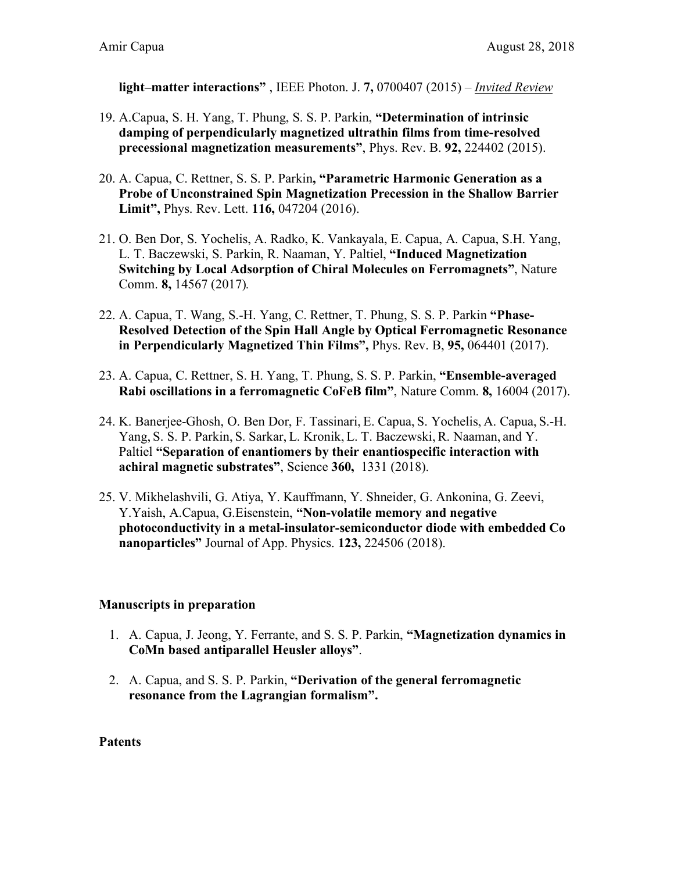**light–matter interactions"** , IEEE Photon. J. **7,** 0700407 (2015) – *Invited Review*

- 19. A.Capua, S. H. Yang, T. Phung, S. S. P. Parkin, **"Determination of intrinsic damping of perpendicularly magnetized ultrathin films from time-resolved precessional magnetization measurements"**, Phys. Rev. B. **92,** 224402 (2015).
- 20. A. Capua, C. Rettner, S. S. P. Parkin**, "Parametric Harmonic Generation as a Probe of Unconstrained Spin Magnetization Precession in the Shallow Barrier Limit",** Phys. Rev. Lett. **116,** 047204 (2016).
- 21. O. Ben Dor, S. Yochelis, A. Radko, K. Vankayala, E. Capua, A. Capua, S.H. Yang, L. T. Baczewski, S. Parkin, R. Naaman, Y. Paltiel, **"Induced Magnetization Switching by Local Adsorption of Chiral Molecules on Ferromagnets"**, Nature Comm. **8,** 14567 (2017)*.*
- 22. A. Capua, T. Wang, S.-H. Yang, C. Rettner, T. Phung, S. S. P. Parkin **"Phase-Resolved Detection of the Spin Hall Angle by Optical Ferromagnetic Resonance in Perpendicularly Magnetized Thin Films",** Phys. Rev. B, **95,** 064401 (2017).
- 23. A. Capua, C. Rettner, S. H. Yang, T. Phung, S. S. P. Parkin, **"Ensemble-averaged Rabi oscillations in a ferromagnetic CoFeB film"**, Nature Comm. **8,** 16004 (2017).
- 24. K. Banerjee-Ghosh, O. Ben Dor, F. Tassinari, E. Capua, S. Yochelis, A. Capua, S.-H. Yang, S. S. P. Parkin, S. Sarkar, L. Kronik, L. T. Baczewski, R. Naaman, and Y. Paltiel **"Separation of enantiomers by their enantiospecific interaction with achiral magnetic substrates"**, Science **360,** 1331 (2018).
- 25. V. Mikhelashvili, G. Atiya, Y. Kauffmann, Y. Shneider, G. Ankonina, G. Zeevi, Y.Yaish, A.Capua, G.Eisenstein, **"Non-volatile memory and negative photoconductivity in a metal-insulator-semiconductor diode with embedded Co nanoparticles"** Journal of App. Physics. **123,** 224506 (2018).

## **Manuscripts in preparation**

- 1. A. Capua, J. Jeong, Y. Ferrante, and S. S. P. Parkin, **"Magnetization dynamics in CoMn based antiparallel Heusler alloys"**.
- 2. A. Capua, and S. S. P. Parkin, **"Derivation of the general ferromagnetic resonance from the Lagrangian formalism".**

#### **Patents**